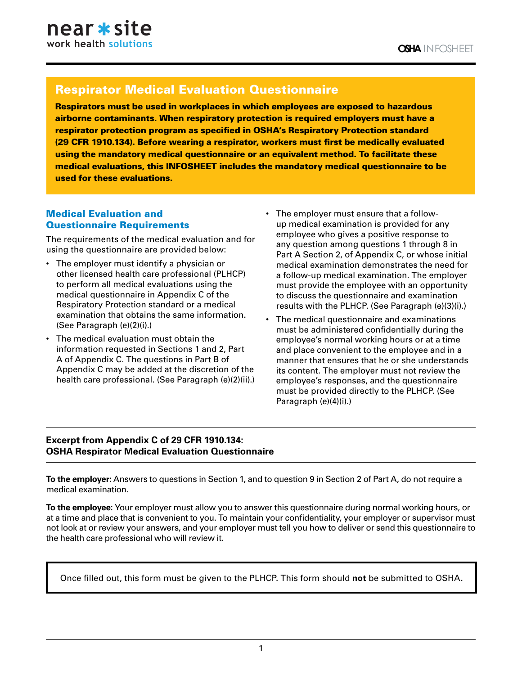# Respirator Medical Evaluation Questionnaire

Respirators must be used in workplaces in which employees are exposed to hazardous airborne contaminants. When respiratory protection is required employers must have a respirator protection program as specified in OSHA's Respiratory Protection standard (29 CFR 1910.134). Before wearing a respirator, workers must first be medically evaluated using the mandatory medical questionnaire or an equivalent method. To facilitate these medical evaluations, this INFOSHEET includes the mandatory medical questionnaire to be used for these evaluations.

#### Medical Evaluation and Questionnaire Requirements

The requirements of the medical evaluation and for using the questionnaire are provided below:

- The employer must identify a physician or other licensed health care professional (PLHCP) to perform all medical evaluations using the medical questionnaire in Appendix C of the Respiratory Protection standard or a medical examination that obtains the same information. (See Paragraph (e)(2)(i).)
- The medical evaluation must obtain the information requested in Sections 1 and 2, Part A of Appendix C. The questions in Part B of Appendix C may be added at the discretion of the health care professional. (See Paragraph (e)(2)(ii).)
- The employer must ensure that a followup medical examination is provided for any employee who gives a positive response to any question among questions 1 through 8 in Part A Section 2, of Appendix C, or whose initial medical examination demonstrates the need for a follow-up medical examination. The employer must provide the employee with an opportunity to discuss the questionnaire and examination results with the PLHCP. (See Paragraph (e)(3)(i).)
- The medical questionnaire and examinations must be administered confidentially during the employee's normal working hours or at a time and place convenient to the employee and in a manner that ensures that he or she understands its content. The employer must not review the employee's responses, and the questionnaire must be provided directly to the PLHCP. (See Paragraph (e)(4)(i).)

### **Excerpt from Appendix C of 29 CFR 1910.134: OSHA Respirator Medical Evaluation Questionnaire**

**To the employer:** Answers to questions in Section 1, and to question 9 in Section 2 of Part A, do not require a medical examination.

**To the employee:** Your employer must allow you to answer this questionnaire during normal working hours, or at a time and place that is convenient to you. To maintain your confidentiality, your employer or supervisor must not look at or review your answers, and your employer must tell you how to deliver or send this questionnaire to the health care professional who will review it.

Once filled out, this form must be given to the PLHCP. This form should **not** be submitted to OSHA.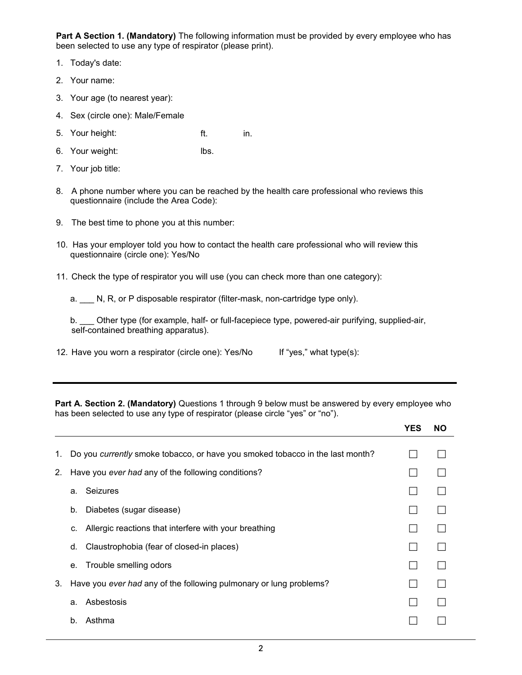**Part A Section 1. (Mandatory)** The following information must be provided by every employee who has been selected to use any type of respirator (please print).

- 1. Today's date:
- 2. Your name:
- 3. Your age (to nearest year):

c. Chronic bronchitis bronchitis bronchitis bronchitis bronchitis bronchitis bronchitis bronchitis bronchitis<br>Chronic bronchitis bronchitis bronchitis bronchitis bronchitis bronchitis bronchitis bronchitis bronchitis bro

- 4. Sex (circle one): Male/Female
- ft. in. 5. Your height:
- lbs. 6. Your weight:
- 7. Your job title:
- 8. A phone number where you can be reached by the health care professional who reviews this questionnaire (include the Area Code):
- 9. The best time to phone you at this number:
- 10. Has your employer told you how to contact the health care professional who will review this questionnaire (circle one): Yes/No
- 11. Check the type of respirator you will use (you can check more than one category):

a.  $\Box$  N, R, or P disposable respirator (filter-mask, non-cartridge type only).

| Other type (for example, half- or full-facepiece type, powered-air purifying, supplied-air, |  |  |  |  |
|---------------------------------------------------------------------------------------------|--|--|--|--|
| self-contained breathing apparatus).                                                        |  |  |  |  |

12. Have you worn a respirator (circle one): Yes/No If "yes," what type(s):

**Part A. Section 2. (Mandatory)** Questions 1 through 9 below must be answered by every employee who has been selected to use any type of respirator (please circle "yes" or "no").

|    |                                                    |                                                                               | <b>YES</b> | <b>NO</b> |
|----|----------------------------------------------------|-------------------------------------------------------------------------------|------------|-----------|
| 1. |                                                    | Do you currently smoke tobacco, or have you smoked tobacco in the last month? |            |           |
| 2. | Have you ever had any of the following conditions? |                                                                               |            |           |
|    | a.                                                 | Seizures                                                                      |            |           |
|    | b.                                                 | Diabetes (sugar disease)                                                      |            |           |
|    | C.                                                 | Allergic reactions that interfere with your breathing                         |            |           |
|    | d.                                                 | Claustrophobia (fear of closed-in places)                                     |            |           |
|    |                                                    | e. Trouble smelling odors                                                     |            |           |
| 3. |                                                    | Have you ever had any of the following pulmonary or lung problems?            |            |           |
|    | a.                                                 | Asbestosis                                                                    |            |           |
|    | b.                                                 | Asthma                                                                        |            |           |
|    |                                                    |                                                                               |            |           |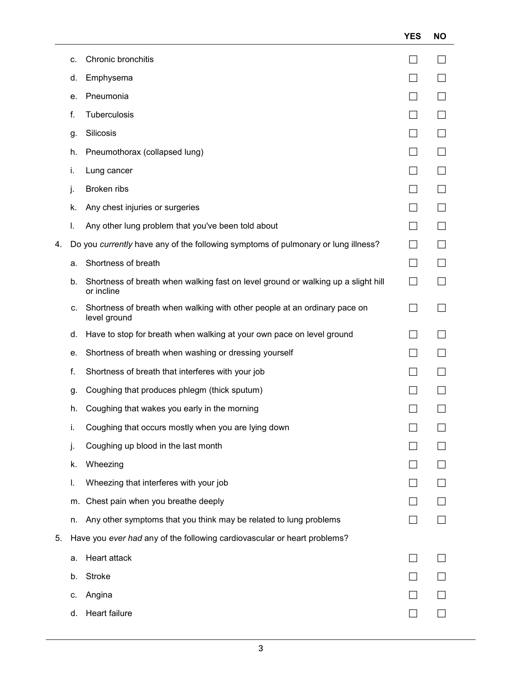|    |    |                                                                                                 | <b>YES</b>    | <b>NO</b> |
|----|----|-------------------------------------------------------------------------------------------------|---------------|-----------|
|    | C. | Chronic bronchitis                                                                              |               |           |
|    | d. | Emphysema                                                                                       |               |           |
|    | е. | Pneumonia                                                                                       |               |           |
|    | f. | Tuberculosis                                                                                    | $\mathcal{L}$ |           |
|    | g. | Silicosis                                                                                       |               |           |
|    | h. | Pneumothorax (collapsed lung)                                                                   |               |           |
|    | i. | Lung cancer                                                                                     |               |           |
|    | j. | Broken ribs                                                                                     |               |           |
|    | k. | Any chest injuries or surgeries                                                                 |               |           |
|    | I. | Any other lung problem that you've been told about                                              |               |           |
| 4. |    | Do you currently have any of the following symptoms of pulmonary or lung illness?               |               |           |
|    | а. | Shortness of breath                                                                             |               |           |
|    | b. | Shortness of breath when walking fast on level ground or walking up a slight hill<br>or incline | $\Box$        |           |
|    | C. | Shortness of breath when walking with other people at an ordinary pace on<br>level ground       |               |           |
|    | d. | Have to stop for breath when walking at your own pace on level ground                           |               |           |
|    | е. | Shortness of breath when washing or dressing yourself                                           |               |           |
|    | f. | Shortness of breath that interferes with your job                                               | $\mathbf{I}$  |           |
|    | g. | Coughing that produces phlegm (thick sputum)                                                    |               |           |
|    | h. | Coughing that wakes you early in the morning                                                    |               |           |
|    | İ. | Coughing that occurs mostly when you are lying down                                             |               |           |
|    | j. | Coughing up blood in the last month                                                             |               |           |
|    | k. | Wheezing                                                                                        |               |           |
|    | I. | Wheezing that interferes with your job                                                          |               |           |
|    |    | m. Chest pain when you breathe deeply                                                           |               |           |
|    | n. | Any other symptoms that you think may be related to lung problems                               |               |           |
| 5. |    | Have you ever had any of the following cardiovascular or heart problems?                        |               |           |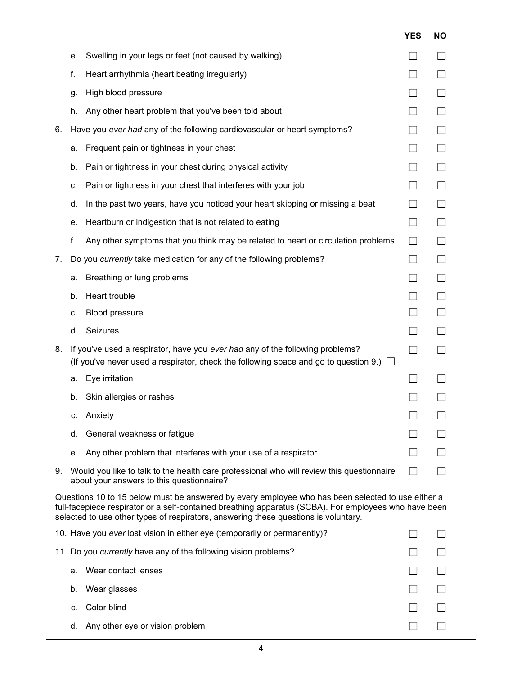|    |    |                                                                                                                                                                                                                                                                                                   | <b>YES</b>               | <b>NO</b>    |
|----|----|---------------------------------------------------------------------------------------------------------------------------------------------------------------------------------------------------------------------------------------------------------------------------------------------------|--------------------------|--------------|
|    | е. | Swelling in your legs or feet (not caused by walking)                                                                                                                                                                                                                                             |                          | $\mathsf{L}$ |
|    | f. | Heart arrhythmia (heart beating irregularly)                                                                                                                                                                                                                                                      |                          | $\mathsf{L}$ |
|    | g. | High blood pressure                                                                                                                                                                                                                                                                               | $\vert \ \ \vert$        | ⊔            |
|    | h. | Any other heart problem that you've been told about                                                                                                                                                                                                                                               |                          | $\mathsf{L}$ |
| 6. |    | Have you ever had any of the following cardiovascular or heart symptoms?                                                                                                                                                                                                                          |                          | $\Box$       |
|    | a. | Frequent pain or tightness in your chest                                                                                                                                                                                                                                                          | ΙI                       | $\Box$       |
|    | b. | Pain or tightness in your chest during physical activity                                                                                                                                                                                                                                          |                          | $\Box$       |
|    | c. | Pain or tightness in your chest that interferes with your job                                                                                                                                                                                                                                     | $\Box$                   | $\Box$       |
|    | d. | In the past two years, have you noticed your heart skipping or missing a beat                                                                                                                                                                                                                     | ΙI                       | $\Box$       |
|    | е. | Heartburn or indigestion that is not related to eating                                                                                                                                                                                                                                            |                          | $\Box$       |
|    | f. | Any other symptoms that you think may be related to heart or circulation problems                                                                                                                                                                                                                 | $\Box$                   | $\Box$       |
| 7. |    | Do you currently take medication for any of the following problems?                                                                                                                                                                                                                               | $\mathsf{L}$             | $\perp$      |
|    | a. | Breathing or lung problems                                                                                                                                                                                                                                                                        |                          | $\Box$       |
|    | b. | Heart trouble                                                                                                                                                                                                                                                                                     |                          | $\Box$       |
|    | c. | <b>Blood pressure</b>                                                                                                                                                                                                                                                                             |                          | $\Box$       |
|    | d. | Seizures                                                                                                                                                                                                                                                                                          |                          | ΙI           |
| 8. |    | If you've used a respirator, have you ever had any of the following problems?<br>(If you've never used a respirator, check the following space and go to question 9.) $\Box$                                                                                                                      | $\overline{\phantom{a}}$ |              |
|    | a. | Eye irritation                                                                                                                                                                                                                                                                                    |                          |              |
|    | b. | Skin allergies or rashes                                                                                                                                                                                                                                                                          |                          |              |
|    | C. | Anxiety                                                                                                                                                                                                                                                                                           |                          |              |
|    | d. | General weakness or fatigue                                                                                                                                                                                                                                                                       |                          |              |
|    | е. | Any other problem that interferes with your use of a respirator                                                                                                                                                                                                                                   |                          |              |
| 9. |    | Would you like to talk to the health care professional who will review this questionnaire<br>about your answers to this questionnaire?                                                                                                                                                            |                          |              |
|    |    | Questions 10 to 15 below must be answered by every employee who has been selected to use either a<br>full-facepiece respirator or a self-contained breathing apparatus (SCBA). For employees who have been<br>selected to use other types of respirators, answering these questions is voluntary. |                          |              |
|    |    | 10. Have you ever lost vision in either eye (temporarily or permanently)?                                                                                                                                                                                                                         |                          |              |
|    |    | 11. Do you currently have any of the following vision problems?                                                                                                                                                                                                                                   |                          |              |

| a.      | Wear contact lenses                |              |        |
|---------|------------------------------------|--------------|--------|
|         | b. Wear glasses                    | $\mathsf{L}$ | $\Box$ |
| $C_{1}$ | Color blind                        | $\perp$      | $\Box$ |
|         | d. Any other eye or vision problem | $\mathsf{L}$ | $\Box$ |
|         |                                    |              |        |